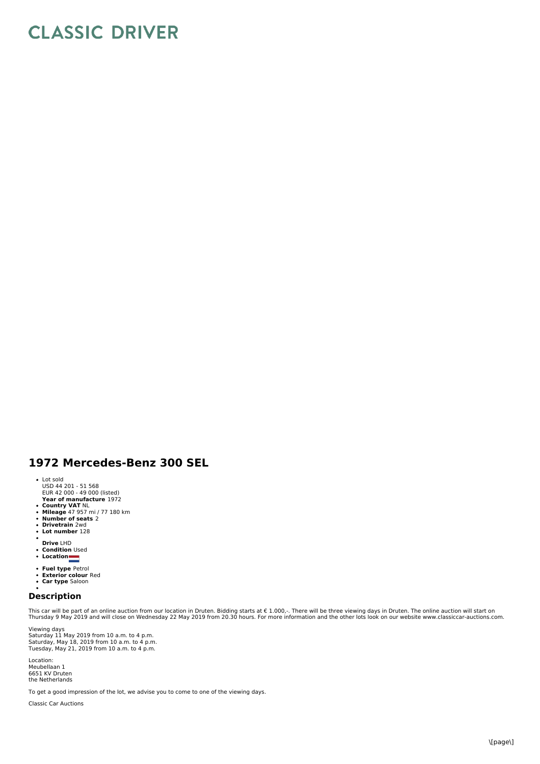## **CLASSIC DRIVER**

## **1972 Mercedes-Benz 300 SEL**

- Lot sold USD 44 201 - 51 568 EUR 42 000 - 49 000 (listed)
- **Year of manufacture** 1972
- **Country VAT** NL<br>**Mileage** 47 957 mi / 77 180 km<br>**Number of seats** 2<br>**Drivetrain** 2wd
- 
- 
- **Lot number** 128
- $\bullet$ **Drive** LHD
- **Condition** Used
- **Location**
- 
- **Fuel type** Petrol **Exterior colour** Red **Car type** Saloon
- 

## **Description**

This car will be part of an online auction from our location in Druten. Bidding starts at € 1.000,-. There will be three viewing days in Druten. The online auction will start on<br>Thursday 9 May 2019 and will close on Wedne

Viewing days<br>Saturday 11 May 2019 from 10 a.m. to 4 p.m.<br>Saturday, May 21, 2019 from 10 a.m. to 4 p.m.<br>Tuesday, May 21, 2019 from 10 a.m. to 4 p.m.

Location: Meubellaan 1 6651 KV Druten the Netherlands

To get a good impression of the lot, we advise you to come to one of the viewing days.

Classic Car Auctions